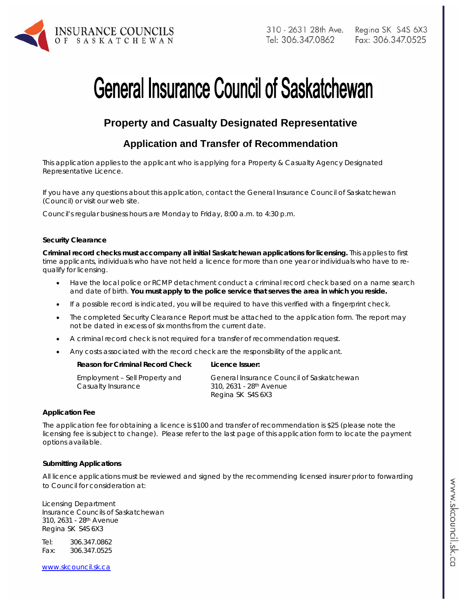

# **General Insurance Council of Saskatchewan**

# **Property and Casualty Designated Representative**

# **Application and Transfer of Recommendation**

*This application applies to the applicant who is applying for a Property & Casualty Agency Designated Representative Licence.* 

If you have any questions about this application, contact the General Insurance Council of Saskatchewan (Council) or visit our web site.

Council's regular business hours are Monday to Friday, 8:00 a.m. to 4:30 p.m.

#### **Security Clearance**

**Criminal record checks must accompany all initial Saskatchewan applications for licensing.** This applies to first time applicants, individuals who have not held a licence for more than one year or individuals who have to requalify for licensing.

- Have the local police or RCMP detachment conduct a criminal record check based on a name search and date of birth. **You must apply to the police service that serves the area in which you reside.**
- If a possible record is indicated, you will be required to have this verified with a fingerprint check.
- The completed Security Clearance Report must be attached to the application form. The report may not be dated in excess of six months from the current date.
- A criminal record check is not required for a transfer of recommendation request.
- Any costs associated with the record check are the responsibility of the applicant.

| Reason for Criminal Record Check                     | Licence Issuer:                                                                                       |
|------------------------------------------------------|-------------------------------------------------------------------------------------------------------|
| Employment - Sell Property and<br>Casualty Insurance | General Insurance Council of Saskatchewan<br>310, 2631 - 28 <sup>th</sup> Avenue<br>Regina SK S4S 6X3 |
|                                                      |                                                                                                       |

#### **Application Fee**

The application fee for obtaining a licence is \$100 and transfer of recommendation is \$25 (please note the licensing fee is subject to change). Please refer to the last page of this application form to locate the payment options available.

#### **Submitting Applications**

All licence applications must be reviewed and signed by the recommending licensed insurer prior to forwarding to Council for consideration at:

Licensing Department Insurance Councils of Saskatchewan 310, 2631 - 28th Avenue Regina SK S4S 6X3

Tel: 306.347.0862 Fax: 306.347.0525

www.skcouncil.sk.ca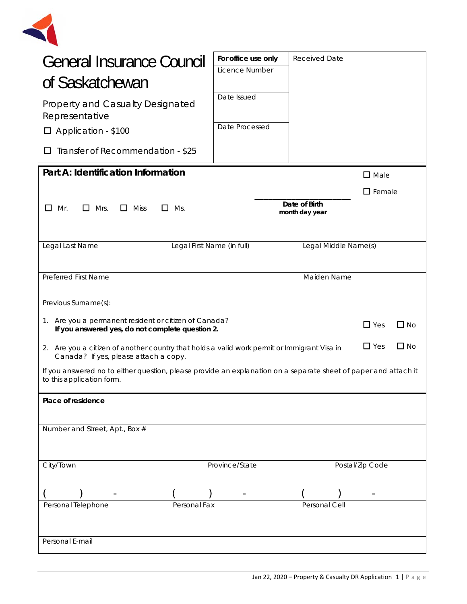

| General Insurance Council                                                                                                                    | For office use only<br>Licence Number | <b>Received Date</b>            |                  |           |
|----------------------------------------------------------------------------------------------------------------------------------------------|---------------------------------------|---------------------------------|------------------|-----------|
| of Saskatchewan                                                                                                                              |                                       |                                 |                  |           |
| <b>Property and Casualty Designated</b><br>Representative                                                                                    | Date Issued                           |                                 |                  |           |
| □ Application - \$100                                                                                                                        | Date Processed                        |                                 |                  |           |
| Transfer of Recommendation - \$25                                                                                                            |                                       |                                 |                  |           |
| Part A: Identification Information<br>$\Box$ Male                                                                                            |                                       |                                 |                  |           |
|                                                                                                                                              |                                       |                                 | $\square$ Female |           |
| $\Box$ Mrs.<br>L I<br>Mr.<br>$\Box$ Miss<br>Ms.<br>$\perp$                                                                                   |                                       | Date of Birth<br>month day year |                  |           |
|                                                                                                                                              |                                       |                                 |                  |           |
| Legal Last Name<br>Legal First Name (in full)                                                                                                |                                       | Legal Middle Name(s)            |                  |           |
|                                                                                                                                              |                                       |                                 |                  |           |
| Preferred First Name                                                                                                                         |                                       | Maiden Name                     |                  |           |
| Previous Surname(s):                                                                                                                         |                                       |                                 |                  |           |
| 1. Are you a permanent resident or citizen of Canada?<br>$\Box$ Yes<br>$\Box$ No<br>If you answered yes, do not complete question 2.         |                                       |                                 |                  |           |
| 2. Are you a citizen of another country that holds a valid work permit or Immigrant Visa in<br>Canada? If yes, please attach a copy.         |                                       |                                 | $\Box$ Yes       | $\Box$ No |
| If you answered no to either question, please provide an explanation on a separate sheet of paper and attach it<br>to this application form. |                                       |                                 |                  |           |
| Place of residence                                                                                                                           |                                       |                                 |                  |           |
|                                                                                                                                              |                                       |                                 |                  |           |
| Number and Street, Apt., Box #                                                                                                               |                                       |                                 |                  |           |
|                                                                                                                                              |                                       |                                 |                  |           |
| City/Town                                                                                                                                    | Province/State                        |                                 | Postal/Zip Code  |           |
|                                                                                                                                              |                                       |                                 |                  |           |
| Personal Telephone<br>Personal Fax                                                                                                           |                                       | Personal Cell                   |                  |           |
|                                                                                                                                              |                                       |                                 |                  |           |
| Personal E-mail                                                                                                                              |                                       |                                 |                  |           |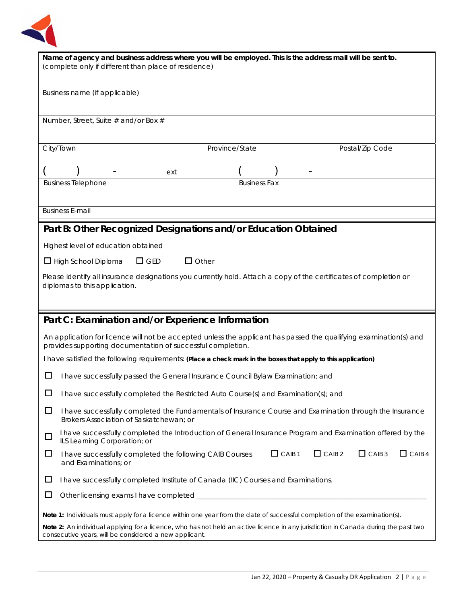

| Name of agency and business address where you will be employed. This is the address mail will be sent to.<br>(complete only if different than place of residence)                |  |  |  |
|----------------------------------------------------------------------------------------------------------------------------------------------------------------------------------|--|--|--|
| Business name (if applicable)                                                                                                                                                    |  |  |  |
| Number, Street, Suite # and/or Box #                                                                                                                                             |  |  |  |
| City/Town<br>Province/State<br>Postal/Zip Code                                                                                                                                   |  |  |  |
| ext                                                                                                                                                                              |  |  |  |
| <b>Business Fax</b><br><b>Business Telephone</b>                                                                                                                                 |  |  |  |
| <b>Business E-mail</b>                                                                                                                                                           |  |  |  |
| Part B: Other Recognized Designations and/or Education Obtained                                                                                                                  |  |  |  |
| Highest level of education obtained                                                                                                                                              |  |  |  |
| $\Box$ Other<br>$\Box$ GED<br>$\Box$ High School Diploma                                                                                                                         |  |  |  |
| Please identify all insurance designations you currently hold. Attach a copy of the certificates of completion or<br>diplomas to this application.                               |  |  |  |
|                                                                                                                                                                                  |  |  |  |
| Part C: Examination and/or Experience Information                                                                                                                                |  |  |  |
| An application for licence will not be accepted unless the applicant has passed the qualifying examination(s) and<br>provides supporting documentation of successful completion. |  |  |  |
| I have satisfied the following requirements: (Place a check mark in the boxes that apply to this application)                                                                    |  |  |  |
| $\Box$<br>I have successfully passed the General Insurance Council Bylaw Examination; and                                                                                        |  |  |  |
| I have successfully completed the Restricted Auto Course(s) and Examination(s); and<br>ப                                                                                         |  |  |  |
| $\Box$<br>I have successfully completed the Fundamentals of Insurance Course and Examination through the Insurance<br>Brokers Association of Saskatchewan; or                    |  |  |  |
| I have successfully completed the Introduction of General Insurance Program and Examination offered by the<br>$\Box$<br>ILS Learning Corporation; or                             |  |  |  |
| $\Box$ CAIB 1<br>$\Box$ CAIB 2<br>CAB3<br>$\Box$ CAIB 4<br>$\Box$<br>I have successfully completed the following CAIB Courses<br>and Examinations; or                            |  |  |  |
|                                                                                                                                                                                  |  |  |  |
| ப<br>I have successfully completed Institute of Canada (IIC) Courses and Examinations.                                                                                           |  |  |  |
| $\Box$                                                                                                                                                                           |  |  |  |
| Note 1: Individuals must apply for a licence within one year from the date of successful completion of the examination(s).                                                       |  |  |  |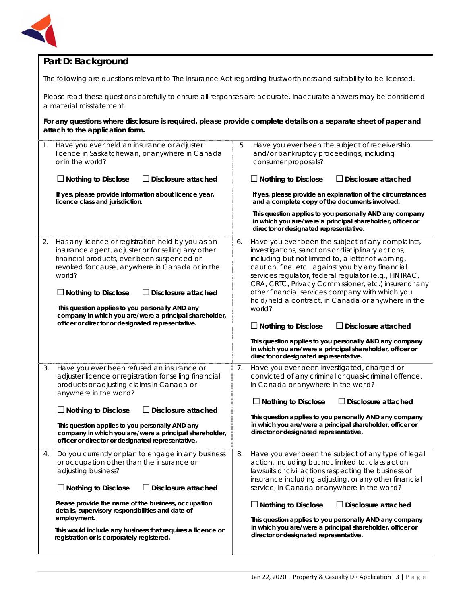

## **Part D: Background**

The following are questions relevant to *The Insurance Act* regarding trustworthiness and suitability to be licensed.

Please read these questions carefully to ensure all responses are accurate. Inaccurate answers may be considered a material misstatement.

**For any questions where disclosure is required, please provide complete details on a separate sheet of paper and attach to the application form.**

| $\mathbf{1}$ . | Have you ever held an insurance or adjuster<br>licence in Saskatchewan, or anywhere in Canada<br>or in the world?                                                                                                                                                                                                                                                                                                                                | 5. | Have you ever been the subject of receivership<br>and/or bankruptcy proceedings, including<br>consumer proposals?                                                                                                                                                                                                                                                                                                                                                                                                   |
|----------------|--------------------------------------------------------------------------------------------------------------------------------------------------------------------------------------------------------------------------------------------------------------------------------------------------------------------------------------------------------------------------------------------------------------------------------------------------|----|---------------------------------------------------------------------------------------------------------------------------------------------------------------------------------------------------------------------------------------------------------------------------------------------------------------------------------------------------------------------------------------------------------------------------------------------------------------------------------------------------------------------|
|                | $\Box$ Nothing to Disclose<br>$\Box$ Disclosure attached                                                                                                                                                                                                                                                                                                                                                                                         |    | $\Box$ Nothing to Disclose<br>$\Box$ Disclosure attached                                                                                                                                                                                                                                                                                                                                                                                                                                                            |
|                | If yes, please provide information about licence year,<br>licence class and jurisdiction.                                                                                                                                                                                                                                                                                                                                                        |    | If yes, please provide an explanation of the circumstances<br>and a complete copy of the documents involved.                                                                                                                                                                                                                                                                                                                                                                                                        |
|                |                                                                                                                                                                                                                                                                                                                                                                                                                                                  |    | This question applies to you personally AND any company<br>in which you are/were a principal shareholder, officer or<br>director or designated representative.                                                                                                                                                                                                                                                                                                                                                      |
| 2.             | Has any licence or registration held by you as an<br>insurance agent, adjuster or for selling any other<br>financial products, ever been suspended or<br>revoked for cause, anywhere in Canada or in the<br>world?<br>$\Box$ Nothing to Disclose<br>$\Box$ Disclosure attached<br>This question applies to you personally AND any<br>company in which you are/were a principal shareholder,<br>officer or director or designated representative. | 6. | Have you ever been the subject of any complaints,<br>investigations, sanctions or disciplinary actions,<br>including but not limited to, a letter of warning,<br>caution, fine, etc., against you by any financial<br>services regulator, federal regulator (e.g., FINTRAC,<br>CRA, CRTC, Privacy Commissioner, etc.) insurer or any<br>other financial services company with which you<br>hold/held a contract, in Canada or anywhere in the<br>world?<br>$\Box$ Nothing to Disclose<br>$\Box$ Disclosure attached |
|                |                                                                                                                                                                                                                                                                                                                                                                                                                                                  |    | This question applies to you personally AND any company<br>in which you are/were a principal shareholder, officer or<br>director or designated representative.                                                                                                                                                                                                                                                                                                                                                      |
| 3.             | Have you ever been refused an insurance or<br>adjuster licence or registration for selling financial<br>products or adjusting claims in Canada or<br>anywhere in the world?                                                                                                                                                                                                                                                                      | 7. | Have you ever been investigated, charged or<br>convicted of any criminal or quasi-criminal offence,<br>in Canada or anywhere in the world?                                                                                                                                                                                                                                                                                                                                                                          |
|                | Disclosure attached<br>$\Box$ Nothing to Disclose                                                                                                                                                                                                                                                                                                                                                                                                |    | $\Box$ Nothing to Disclose<br>$\Box$ Disclosure attached                                                                                                                                                                                                                                                                                                                                                                                                                                                            |
|                | This question applies to you personally AND any<br>company in which you are/were a principal shareholder,<br>officer or director or designated representative.                                                                                                                                                                                                                                                                                   |    | This question applies to you personally AND any company<br>in which you are/were a principal shareholder, officer or<br>director or designated representative.                                                                                                                                                                                                                                                                                                                                                      |
| 4.             | Do you currently or plan to engage in any business<br>or occupation other than the insurance or<br>adjusting business?                                                                                                                                                                                                                                                                                                                           | 8. | Have you ever been the subject of any type of legal<br>action, including but not limited to, class action<br>lawsuits or civil actions respecting the business of<br>insurance including adjusting, or any other financial                                                                                                                                                                                                                                                                                          |
|                | Disclosure attached<br>$\Box$ Nothing to Disclose                                                                                                                                                                                                                                                                                                                                                                                                |    | service, in Canada or anywhere in the world?                                                                                                                                                                                                                                                                                                                                                                                                                                                                        |
|                | Please provide the name of the business, occupation<br>details, supervisory responsibilities and date of<br>employment.                                                                                                                                                                                                                                                                                                                          |    | $\Box$ Nothing to Disclose<br>$\Box$ Disclosure attached<br>This question applies to you personally AND any company                                                                                                                                                                                                                                                                                                                                                                                                 |
|                | This would include any business that requires a licence or<br>registration or is corporately registered.                                                                                                                                                                                                                                                                                                                                         |    | in which you are/were a principal shareholder, officer or<br>director or designated representative.                                                                                                                                                                                                                                                                                                                                                                                                                 |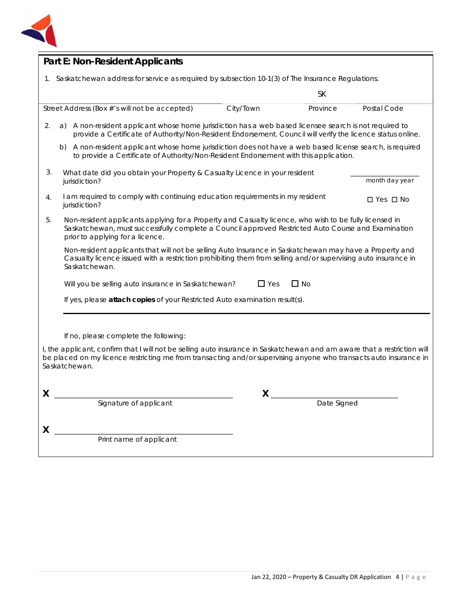

| <b>Part E: Non-Resident Applicants</b>                                                                                                                                                                                                                         |                                                                                                                                                                                                                                                  |           |             |                            |
|----------------------------------------------------------------------------------------------------------------------------------------------------------------------------------------------------------------------------------------------------------------|--------------------------------------------------------------------------------------------------------------------------------------------------------------------------------------------------------------------------------------------------|-----------|-------------|----------------------------|
|                                                                                                                                                                                                                                                                | 1. Saskatchewan address for service as required by subsection 10-1(3) of The Insurance Regulations.                                                                                                                                              |           |             |                            |
|                                                                                                                                                                                                                                                                |                                                                                                                                                                                                                                                  |           | <b>SK</b>   |                            |
|                                                                                                                                                                                                                                                                | Street Address (Box #'s will not be accepted)                                                                                                                                                                                                    | City/Town | Province    | Postal Code                |
| 2.                                                                                                                                                                                                                                                             | A non-resident applicant whose home jurisdiction has a web based licensee search is not required to<br>a)<br>provide a Certificate of Authority/Non-Resident Endorsement. Council will verify the licence status online.                         |           |             |                            |
|                                                                                                                                                                                                                                                                | A non-resident applicant whose home jurisdiction does not have a web based license search, is required<br>b)<br>to provide a Certificate of Authority/Non-Resident Endorsement with this application.                                            |           |             |                            |
| 3.                                                                                                                                                                                                                                                             | What date did you obtain your Property & Casualty Licence in your resident<br>jurisdiction?                                                                                                                                                      |           |             | month day year             |
| 4.                                                                                                                                                                                                                                                             | I am required to comply with continuing education requirements in my resident<br>jurisdiction?                                                                                                                                                   |           |             | $\square$ Yes $\square$ No |
| 5.                                                                                                                                                                                                                                                             | Non-resident applicants applying for a Property and Casualty licence, who wish to be fully licensed in<br>Saskatchewan, must successfully complete a Council approved Restricted Auto Course and Examination<br>prior to applying for a licence. |           |             |                            |
|                                                                                                                                                                                                                                                                | Non-resident applicants that will not be selling Auto Insurance in Saskatchewan may have a Property and<br>Casualty licence issued with a restriction prohibiting them from selling and/or supervising auto insurance in<br>Saskatchewan.        |           |             |                            |
|                                                                                                                                                                                                                                                                | $\Box$ Yes<br>$\Box$ No<br>Will you be selling auto insurance in Saskatchewan?                                                                                                                                                                   |           |             |                            |
|                                                                                                                                                                                                                                                                | If yes, please attach copies of your Restricted Auto examination result(s).                                                                                                                                                                      |           |             |                            |
|                                                                                                                                                                                                                                                                |                                                                                                                                                                                                                                                  |           |             |                            |
|                                                                                                                                                                                                                                                                | If no, please complete the following:                                                                                                                                                                                                            |           |             |                            |
| I, the applicant, confirm that I will not be selling auto insurance in Saskatchewan and am aware that a restriction will<br>be placed on my licence restricting me from transacting and/or supervising anyone who transacts auto insurance in<br>Saskatchewan. |                                                                                                                                                                                                                                                  |           |             |                            |
| x                                                                                                                                                                                                                                                              |                                                                                                                                                                                                                                                  | X         |             |                            |
|                                                                                                                                                                                                                                                                | Signature of applicant                                                                                                                                                                                                                           |           | Date Signed |                            |
|                                                                                                                                                                                                                                                                |                                                                                                                                                                                                                                                  |           |             |                            |
| X                                                                                                                                                                                                                                                              | Print name of applicant                                                                                                                                                                                                                          |           |             |                            |
|                                                                                                                                                                                                                                                                |                                                                                                                                                                                                                                                  |           |             |                            |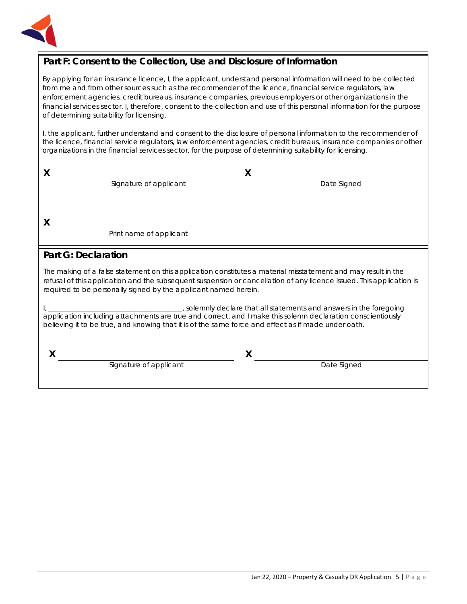

## **Part F: Consent to the Collection, Use and Disclosure of Information**

By applying for an insurance licence, I, the applicant, understand personal information will need to be collected from me and from other sources such as the recommender of the licence, financial service regulators, law enforcement agencies, credit bureaus, insurance companies, previous employers or other organizations in the financial services sector. I, therefore, consent to the collection and use of this personal information for the purpose of determining suitability for licensing.

I, the applicant, further understand and consent to the disclosure of personal information to the recommender of the licence, financial service regulators, law enforcement agencies, credit bureaus, insurance companies or other organizations in the financial services sector, for the purpose of determining suitability for licensing.

| X                                                                                                                                                                                                                                                                                                        |                                                                                                                                                                                                                   | X                                                                 |  |
|----------------------------------------------------------------------------------------------------------------------------------------------------------------------------------------------------------------------------------------------------------------------------------------------------------|-------------------------------------------------------------------------------------------------------------------------------------------------------------------------------------------------------------------|-------------------------------------------------------------------|--|
|                                                                                                                                                                                                                                                                                                          | Signature of applicant                                                                                                                                                                                            | Date Signed                                                       |  |
|                                                                                                                                                                                                                                                                                                          |                                                                                                                                                                                                                   |                                                                   |  |
| $\boldsymbol{\mathsf{X}}$                                                                                                                                                                                                                                                                                |                                                                                                                                                                                                                   |                                                                   |  |
|                                                                                                                                                                                                                                                                                                          | Print name of applicant                                                                                                                                                                                           |                                                                   |  |
| <b>Part G: Declaration</b>                                                                                                                                                                                                                                                                               |                                                                                                                                                                                                                   |                                                                   |  |
| The making of a false statement on this application constitutes a material misstatement and may result in the<br>refusal of this application and the subsequent suspension or cancellation of any licence issued. This application is<br>required to be personally signed by the applicant named herein. |                                                                                                                                                                                                                   |                                                                   |  |
|                                                                                                                                                                                                                                                                                                          | application including attachments are true and correct, and I make this solemn declaration conscientiously<br>believing it to be true, and knowing that it is of the same force and effect as if made under oath. | solemnly declare that all statements and answers in the foregoing |  |

**X X**

Signature of applicant and the Signature of applicant and the Date Signed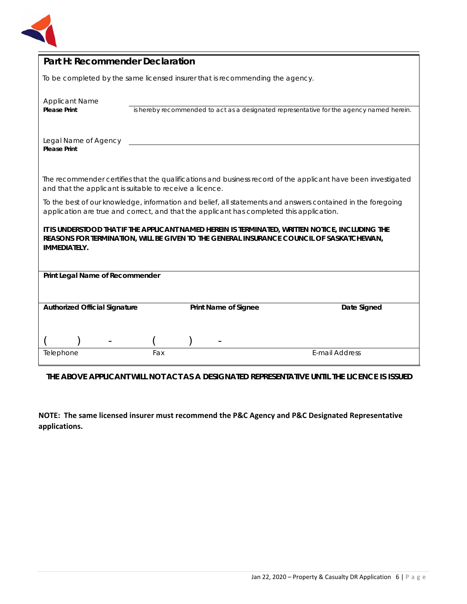

| Part H: Recommender Declaration                                                                                                                                                                                     |     |                      |                                                                                          |
|---------------------------------------------------------------------------------------------------------------------------------------------------------------------------------------------------------------------|-----|----------------------|------------------------------------------------------------------------------------------|
| To be completed by the same licensed insurer that is recommending the agency.                                                                                                                                       |     |                      |                                                                                          |
| <b>Applicant Name</b><br><b>Please Print</b>                                                                                                                                                                        |     |                      | is hereby recommended to act as a designated representative for the agency named herein. |
| Legal Name of Agency<br><b>Please Print</b>                                                                                                                                                                         |     |                      |                                                                                          |
| The recommender certifies that the qualifications and business record of the applicant have been investigated<br>and that the applicant is suitable to receive a licence.                                           |     |                      |                                                                                          |
| To the best of our knowledge, information and belief, all statements and answers contained in the foregoing<br>application are true and correct, and that the applicant has completed this application.             |     |                      |                                                                                          |
| IT IS UNDERSTOOD THAT IF THE APPLICANT NAMED HEREIN IS TERMINATED, WRITTEN NOTICE, INCLUDING THE<br>REASONS FOR TERMINATION, WILL BE GIVEN TO THE GENERAL INSURANCE COUNCIL OF SASKATCHEWAN,<br><b>IMMEDIATELY.</b> |     |                      |                                                                                          |
| Print Legal Name of Recommender                                                                                                                                                                                     |     |                      |                                                                                          |
|                                                                                                                                                                                                                     |     |                      |                                                                                          |
| <b>Authorized Official Signature</b>                                                                                                                                                                                |     | Print Name of Signee | Date Signed                                                                              |
|                                                                                                                                                                                                                     |     |                      |                                                                                          |
| Telephone                                                                                                                                                                                                           | Fax |                      | <b>E-mail Address</b>                                                                    |

**THE ABOVE APPLICANT WILL NOT ACT AS A DESIGNATED REPRESENTATIVE UNTIL THE LICENCE IS ISSUED**

**NOTE: The same licensed insurer must recommend the P&C Agency and P&C Designated Representative applications.**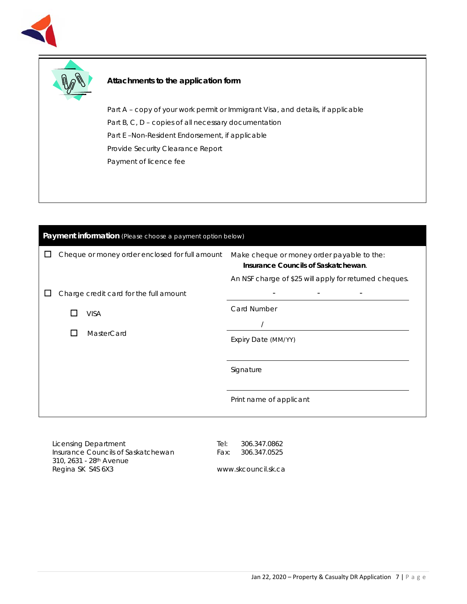



### **Attachments to the application form**

Part A – copy of your work permit or Immigrant Visa, and details, if applicable Part B, C, D – copies of all necessary documentation Part E –Non-Resident Endorsement, if applicable Provide Security Clearance Report Payment of licence fee

| Payment information (Please choose a payment option below) |              |                                                |                                                                                                                                             |
|------------------------------------------------------------|--------------|------------------------------------------------|---------------------------------------------------------------------------------------------------------------------------------------------|
|                                                            |              | Cheque or money order enclosed for full amount | Make cheque or money order payable to the:<br>Insurance Councils of Saskatchewan.<br>An NSF charge of \$25 will apply for returned cheques. |
|                                                            |              | Charge credit card for the full amount         |                                                                                                                                             |
|                                                            |              | <b>VISA</b>                                    | Card Number                                                                                                                                 |
|                                                            |              |                                                |                                                                                                                                             |
|                                                            | $\mathsf{L}$ | MasterCard                                     | Expiry Date (MM/YY)                                                                                                                         |
|                                                            |              |                                                |                                                                                                                                             |
|                                                            |              |                                                | Signature                                                                                                                                   |
|                                                            |              |                                                | Print name of applicant                                                                                                                     |

Licensing Department Insurance Councils of Saskatchewan 310, 2631 - 28th Avenue Regina SK S4S 6X3

Tel: 306.347.0862 Fax: 306.347.0525

www.skcouncil.sk.ca